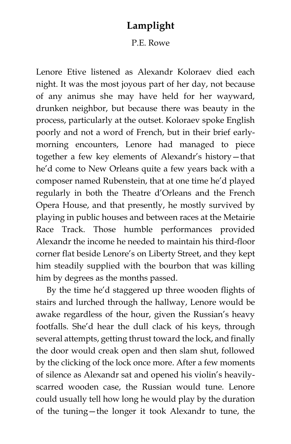## **Lamplight**

## P.E. Rowe

Lenore Etive listened as Alexandr Koloraev died each night. It was the most joyous part of her day, not because of any animus she may have held for her wayward, drunken neighbor, but because there was beauty in the process, particularly at the outset. Koloraev spoke English poorly and not a word of French, but in their brief earlymorning encounters, Lenore had managed to piece together a few key elements of Alexandr's history—that he'd come to New Orleans quite a few years back with a composer named Rubenstein, that at one time he'd played regularly in both the Theatre d'Orleans and the French Opera House, and that presently, he mostly survived by playing in public houses and between races at the Metairie Race Track. Those humble performances provided Alexandr the income he needed to maintain his third-floor corner flat beside Lenore's on Liberty Street, and they kept him steadily supplied with the bourbon that was killing him by degrees as the months passed.

By the time he'd staggered up three wooden flights of stairs and lurched through the hallway, Lenore would be awake regardless of the hour, given the Russian's heavy footfalls. She'd hear the dull clack of his keys, through several attempts, getting thrust toward the lock, and finally the door would creak open and then slam shut, followed by the clicking of the lock once more. After a few moments of silence as Alexandr sat and opened his violin's heavilyscarred wooden case, the Russian would tune. Lenore could usually tell how long he would play by the duration of the tuning—the longer it took Alexandr to tune, the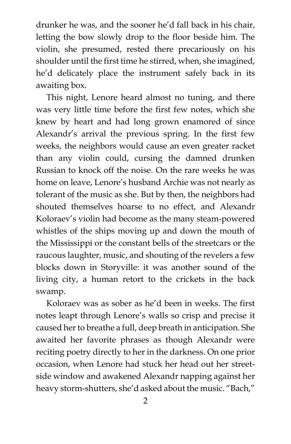drunker he was, and the sooner he'd fall back in his chair, letting the bow slowly drop to the floor beside him. The violin, she presumed, rested there precariously on his shoulder until the first time he stirred, when, she imagined, he'd delicately place the instrument safely back in its awaiting box.

This night, Lenore heard almost no tuning, and there was very little time before the first few notes, which she knew by heart and had long grown enamored of since Alexandr's arrival the previous spring. In the first few weeks, the neighbors would cause an even greater racket than any violin could, cursing the damned drunken Russian to knock off the noise. On the rare weeks he was home on leave, Lenore's husband Archie was not nearly as tolerant of the music as she. But by then, the neighbors had shouted themselves hoarse to no effect, and Alexandr Koloraev's violin had become as the many steam-powered whistles of the ships moving up and down the mouth of the Mississippi or the constant bells of the streetcars or the raucous laughter, music, and shouting of the revelers a few blocks down in Storyville: it was another sound of the living city, a human retort to the crickets in the back swamp.

Koloraev was as sober as he'd been in weeks. The first notes leapt through Lenore's walls so crisp and precise it caused her to breathe a full, deep breath in anticipation. She awaited her favorite phrases as though Alexandr were reciting poetry directly to her in the darkness. On one prior occasion, when Lenore had stuck her head out her streetside window and awakened Alexandr napping against her heavy storm-shutters, she'd asked about the music. "Bach,"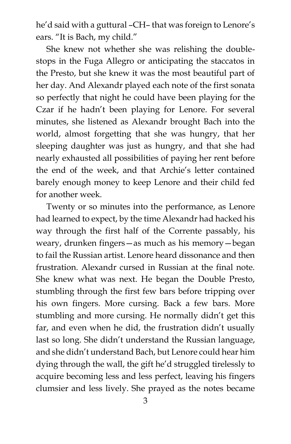he'd said with a guttural –CH– that was foreign to Lenore's ears. "It is Bach, my child."

She knew not whether she was relishing the doublestops in the Fuga Allegro or anticipating the staccatos in the Presto, but she knew it was the most beautiful part of her day. And Alexandr played each note of the first sonata so perfectly that night he could have been playing for the Czar if he hadn't been playing for Lenore. For several minutes, she listened as Alexandr brought Bach into the world, almost forgetting that she was hungry, that her sleeping daughter was just as hungry, and that she had nearly exhausted all possibilities of paying her rent before the end of the week, and that Archie's letter contained barely enough money to keep Lenore and their child fed for another week.

Twenty or so minutes into the performance, as Lenore had learned to expect, by the time Alexandr had hacked his way through the first half of the Corrente passably, his weary, drunken fingers—as much as his memory—began to fail the Russian artist. Lenore heard dissonance and then frustration. Alexandr cursed in Russian at the final note. She knew what was next. He began the Double Presto, stumbling through the first few bars before tripping over his own fingers. More cursing. Back a few bars. More stumbling and more cursing. He normally didn't get this far, and even when he did, the frustration didn't usually last so long. She didn't understand the Russian language, and she didn't understand Bach, but Lenore could hear him dying through the wall, the gift he'd struggled tirelessly to acquire becoming less and less perfect, leaving his fingers clumsier and less lively. She prayed as the notes became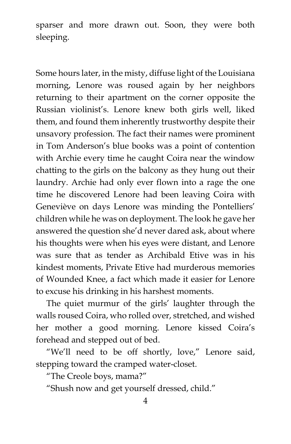sparser and more drawn out. Soon, they were both sleeping.

Some hours later, in the misty, diffuse light of the Louisiana morning, Lenore was roused again by her neighbors returning to their apartment on the corner opposite the Russian violinist's. Lenore knew both girls well, liked them, and found them inherently trustworthy despite their unsavory profession. The fact their names were prominent in Tom Anderson's blue books was a point of contention with Archie every time he caught Coira near the window chatting to the girls on the balcony as they hung out their laundry. Archie had only ever flown into a rage the one time he discovered Lenore had been leaving Coira with Geneviève on days Lenore was minding the Pontelliers' children while he was on deployment. The look he gave her answered the question she'd never dared ask, about where his thoughts were when his eyes were distant, and Lenore was sure that as tender as Archibald Etive was in his kindest moments, Private Etive had murderous memories of Wounded Knee, a fact which made it easier for Lenore to excuse his drinking in his harshest moments.

The quiet murmur of the girls' laughter through the walls roused Coira, who rolled over, stretched, and wished her mother a good morning. Lenore kissed Coira's forehead and stepped out of bed.

"We'll need to be off shortly, love," Lenore said, stepping toward the cramped water-closet.

"The Creole boys, mama?"

"Shush now and get yourself dressed, child."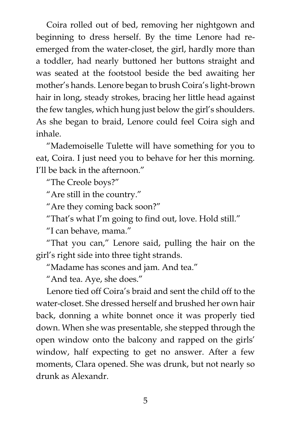Coira rolled out of bed, removing her nightgown and beginning to dress herself. By the time Lenore had reemerged from the water-closet, the girl, hardly more than a toddler, had nearly buttoned her buttons straight and was seated at the footstool beside the bed awaiting her mother's hands. Lenore began to brush Coira's light-brown hair in long, steady strokes, bracing her little head against the few tangles, which hung just below the girl's shoulders. As she began to braid, Lenore could feel Coira sigh and inhale.

"Mademoiselle Tulette will have something for you to eat, Coira. I just need you to behave for her this morning. I'll be back in the afternoon."

"The Creole boys?"

"Are still in the country."

"Are they coming back soon?"

"That's what I'm going to find out, love. Hold still."

"I can behave, mama."

"That you can," Lenore said, pulling the hair on the girl's right side into three tight strands.

"Madame has scones and jam. And tea."

"And tea. Aye, she does."

Lenore tied off Coira's braid and sent the child off to the water-closet. She dressed herself and brushed her own hair back, donning a white bonnet once it was properly tied down. When she was presentable, she stepped through the open window onto the balcony and rapped on the girls' window, half expecting to get no answer. After a few moments, Clara opened. She was drunk, but not nearly so drunk as Alexandr.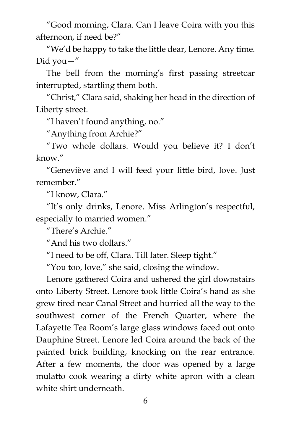"Good morning, Clara. Can I leave Coira with you this afternoon, if need be?"

"We'd be happy to take the little dear, Lenore. Any time. Did you  $-$ "

The bell from the morning's first passing streetcar interrupted, startling them both.

"Christ," Clara said, shaking her head in the direction of Liberty street.

"I haven't found anything, no."

"Anything from Archie?"

"Two whole dollars. Would you believe it? I don't know."

"Geneviève and I will feed your little bird, love. Just remember."

"I know, Clara."

"It's only drinks, Lenore. Miss Arlington's respectful, especially to married women."

"There's Archie."

"And his two dollars."

"I need to be off, Clara. Till later. Sleep tight."

"You too, love," she said, closing the window.

Lenore gathered Coira and ushered the girl downstairs onto Liberty Street. Lenore took little Coira's hand as she grew tired near Canal Street and hurried all the way to the southwest corner of the French Quarter, where the Lafayette Tea Room's large glass windows faced out onto Dauphine Street. Lenore led Coira around the back of the painted brick building, knocking on the rear entrance. After a few moments, the door was opened by a large mulatto cook wearing a dirty white apron with a clean white shirt underneath.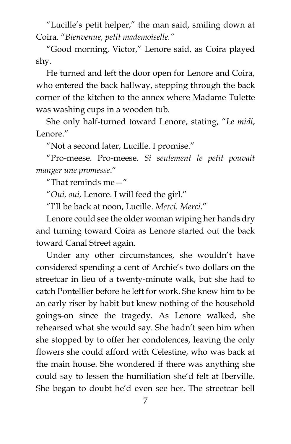"Lucille's petit helper," the man said, smiling down at Coira. "*Bienvenue, petit mademoiselle."*

"Good morning, Victor," Lenore said, as Coira played shy.

He turned and left the door open for Lenore and Coira, who entered the back hallway, stepping through the back corner of the kitchen to the annex where Madame Tulette was washing cups in a wooden tub.

She only half-turned toward Lenore, stating, "*Le midi*, Lenore."

"Not a second later, Lucille. I promise."

"Pro-meese. Pro-meese. *Si seulement le petit pouvait manger une promesse*."

"That reminds me—"

"*Oui, oui,* Lenore. I will feed the girl."

"I'll be back at noon, Lucille. *Merci. Merci.*"

Lenore could see the older woman wiping her hands dry and turning toward Coira as Lenore started out the back toward Canal Street again.

Under any other circumstances, she wouldn't have considered spending a cent of Archie's two dollars on the streetcar in lieu of a twenty-minute walk, but she had to catch Pontellier before he left for work. She knew him to be an early riser by habit but knew nothing of the household goings-on since the tragedy. As Lenore walked, she rehearsed what she would say. She hadn't seen him when she stopped by to offer her condolences, leaving the only flowers she could afford with Celestine, who was back at the main house. She wondered if there was anything she could say to lessen the humiliation she'd felt at Iberville. She began to doubt he'd even see her. The streetcar bell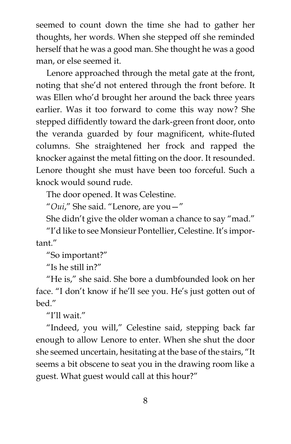seemed to count down the time she had to gather her thoughts, her words. When she stepped off she reminded herself that he was a good man. She thought he was a good man, or else seemed it.

Lenore approached through the metal gate at the front, noting that she'd not entered through the front before. It was Ellen who'd brought her around the back three years earlier. Was it too forward to come this way now? She stepped diffidently toward the dark-green front door, onto the veranda guarded by four magnificent, white-fluted columns. She straightened her frock and rapped the knocker against the metal fitting on the door. It resounded. Lenore thought she must have been too forceful. Such a knock would sound rude.

The door opened. It was Celestine.

"*Oui*," She said. "Lenore, are you—"

She didn't give the older woman a chance to say "mad."

"I'd like to see Monsieur Pontellier, Celestine. It's important."

"So important?"

"Is he still in?"

"He is," she said. She bore a dumbfounded look on her face. "I don't know if he'll see you. He's just gotten out of bed."

"I'll wait"

"Indeed, you will," Celestine said, stepping back far enough to allow Lenore to enter. When she shut the door she seemed uncertain, hesitating at the base of the stairs, "It seems a bit obscene to seat you in the drawing room like a guest. What guest would call at this hour?"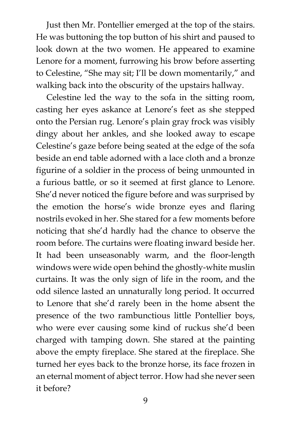Just then Mr. Pontellier emerged at the top of the stairs. He was buttoning the top button of his shirt and paused to look down at the two women. He appeared to examine Lenore for a moment, furrowing his brow before asserting to Celestine, "She may sit; I'll be down momentarily," and walking back into the obscurity of the upstairs hallway.

Celestine led the way to the sofa in the sitting room, casting her eyes askance at Lenore's feet as she stepped onto the Persian rug. Lenore's plain gray frock was visibly dingy about her ankles, and she looked away to escape Celestine's gaze before being seated at the edge of the sofa beside an end table adorned with a lace cloth and a bronze figurine of a soldier in the process of being unmounted in a furious battle, or so it seemed at first glance to Lenore. She'd never noticed the figure before and was surprised by the emotion the horse's wide bronze eyes and flaring nostrils evoked in her. She stared for a few moments before noticing that she'd hardly had the chance to observe the room before. The curtains were floating inward beside her. It had been unseasonably warm, and the floor-length windows were wide open behind the ghostly-white muslin curtains. It was the only sign of life in the room, and the odd silence lasted an unnaturally long period. It occurred to Lenore that she'd rarely been in the home absent the presence of the two rambunctious little Pontellier boys, who were ever causing some kind of ruckus she'd been charged with tamping down. She stared at the painting above the empty fireplace. She stared at the fireplace. She turned her eyes back to the bronze horse, its face frozen in an eternal moment of abject terror. How had she never seen it before?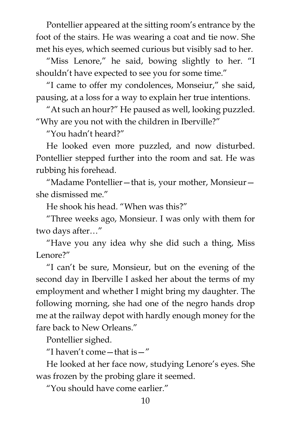Pontellier appeared at the sitting room's entrance by the foot of the stairs. He was wearing a coat and tie now. She met his eyes, which seemed curious but visibly sad to her.

"Miss Lenore," he said, bowing slightly to her. "I shouldn't have expected to see you for some time."

"I came to offer my condolences, Monseiur," she said, pausing, at a loss for a way to explain her true intentions.

"At such an hour?" He paused as well, looking puzzled. "Why are you not with the children in Iberville?"

"You hadn't heard?"

He looked even more puzzled, and now disturbed. Pontellier stepped further into the room and sat. He was rubbing his forehead.

"Madame Pontellier—that is, your mother, Monsieur she dismissed me."

He shook his head. "When was this?"

"Three weeks ago, Monsieur. I was only with them for two days after…"

"Have you any idea why she did such a thing, Miss Lenore?"

"I can't be sure, Monsieur, but on the evening of the second day in Iberville I asked her about the terms of my employment and whether I might bring my daughter. The following morning, she had one of the negro hands drop me at the railway depot with hardly enough money for the fare back to New Orleans."

Pontellier sighed.

"I haven't come—that is—"

He looked at her face now, studying Lenore's eyes. She was frozen by the probing glare it seemed.

"You should have come earlier."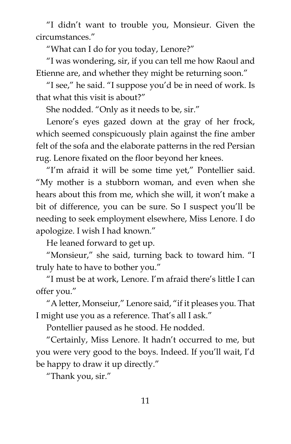"I didn't want to trouble you, Monsieur. Given the circumstances."

"What can I do for you today, Lenore?"

"I was wondering, sir, if you can tell me how Raoul and Etienne are, and whether they might be returning soon."

"I see," he said. "I suppose you'd be in need of work. Is that what this visit is about?"

She nodded. "Only as it needs to be, sir."

Lenore's eyes gazed down at the gray of her frock, which seemed conspicuously plain against the fine amber felt of the sofa and the elaborate patterns in the red Persian rug. Lenore fixated on the floor beyond her knees.

"I'm afraid it will be some time yet," Pontellier said. "My mother is a stubborn woman, and even when she hears about this from me, which she will, it won't make a bit of difference, you can be sure. So I suspect you'll be needing to seek employment elsewhere, Miss Lenore. I do apologize. I wish I had known."

He leaned forward to get up.

"Monsieur," she said, turning back to toward him. "I truly hate to have to bother you."

"I must be at work, Lenore. I'm afraid there's little I can offer you."

"A letter, Monseiur," Lenore said, "if it pleases you. That I might use you as a reference. That's all I ask."

Pontellier paused as he stood. He nodded.

"Certainly, Miss Lenore. It hadn't occurred to me, but you were very good to the boys. Indeed. If you'll wait, I'd be happy to draw it up directly."

"Thank you, sir."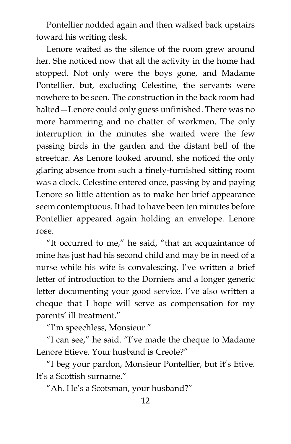Pontellier nodded again and then walked back upstairs toward his writing desk.

Lenore waited as the silence of the room grew around her. She noticed now that all the activity in the home had stopped. Not only were the boys gone, and Madame Pontellier, but, excluding Celestine, the servants were nowhere to be seen. The construction in the back room had halted—Lenore could only guess unfinished. There was no more hammering and no chatter of workmen. The only interruption in the minutes she waited were the few passing birds in the garden and the distant bell of the streetcar. As Lenore looked around, she noticed the only glaring absence from such a finely-furnished sitting room was a clock. Celestine entered once, passing by and paying Lenore so little attention as to make her brief appearance seem contemptuous. It had to have been ten minutes before Pontellier appeared again holding an envelope. Lenore rose.

"It occurred to me," he said, "that an acquaintance of mine has just had his second child and may be in need of a nurse while his wife is convalescing. I've written a brief letter of introduction to the Dorniers and a longer generic letter documenting your good service. I've also written a cheque that I hope will serve as compensation for my parents' ill treatment."

"I'm speechless, Monsieur."

"I can see," he said. "I've made the cheque to Madame Lenore Etieve. Your husband is Creole?"

"I beg your pardon, Monsieur Pontellier, but it's Etive. It's a Scottish surname."

"Ah. He's a Scotsman, your husband?"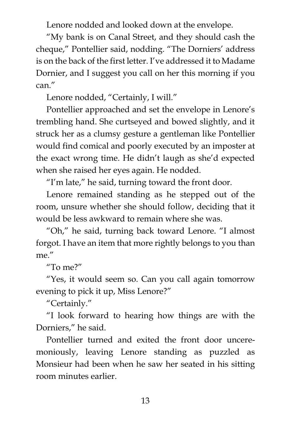Lenore nodded and looked down at the envelope.

"My bank is on Canal Street, and they should cash the cheque," Pontellier said, nodding. "The Dorniers' address is on the back of the first letter. I've addressed it to Madame Dornier, and I suggest you call on her this morning if you can."

Lenore nodded, "Certainly, I will."

Pontellier approached and set the envelope in Lenore's trembling hand. She curtseyed and bowed slightly, and it struck her as a clumsy gesture a gentleman like Pontellier would find comical and poorly executed by an imposter at the exact wrong time. He didn't laugh as she'd expected when she raised her eyes again. He nodded.

"I'm late," he said, turning toward the front door.

Lenore remained standing as he stepped out of the room, unsure whether she should follow, deciding that it would be less awkward to remain where she was.

"Oh," he said, turning back toward Lenore. "I almost forgot. I have an item that more rightly belongs to you than me."

 $^{\prime\prime}$ To me?"

"Yes, it would seem so. Can you call again tomorrow evening to pick it up, Miss Lenore?"

"Certainly."

"I look forward to hearing how things are with the Dorniers," he said.

Pontellier turned and exited the front door unceremoniously, leaving Lenore standing as puzzled as Monsieur had been when he saw her seated in his sitting room minutes earlier.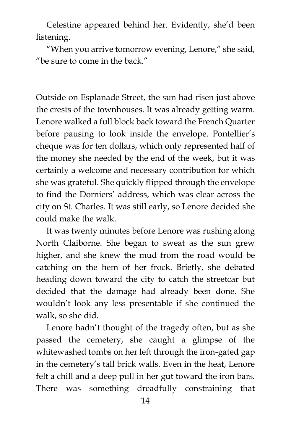Celestine appeared behind her. Evidently, she'd been listening.

"When you arrive tomorrow evening, Lenore," she said, "be sure to come in the back."

Outside on Esplanade Street, the sun had risen just above the crests of the townhouses. It was already getting warm. Lenore walked a full block back toward the French Quarter before pausing to look inside the envelope. Pontellier's cheque was for ten dollars, which only represented half of the money she needed by the end of the week, but it was certainly a welcome and necessary contribution for which she was grateful. She quickly flipped through the envelope to find the Dorniers' address, which was clear across the city on St. Charles. It was still early, so Lenore decided she could make the walk.

It was twenty minutes before Lenore was rushing along North Claiborne. She began to sweat as the sun grew higher, and she knew the mud from the road would be catching on the hem of her frock. Briefly, she debated heading down toward the city to catch the streetcar but decided that the damage had already been done. She wouldn't look any less presentable if she continued the walk, so she did.

Lenore hadn't thought of the tragedy often, but as she passed the cemetery, she caught a glimpse of the whitewashed tombs on her left through the iron-gated gap in the cemetery's tall brick walls. Even in the heat, Lenore felt a chill and a deep pull in her gut toward the iron bars. There was something dreadfully constraining that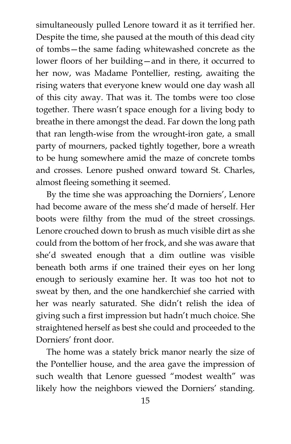simultaneously pulled Lenore toward it as it terrified her. Despite the time, she paused at the mouth of this dead city of tombs—the same fading whitewashed concrete as the lower floors of her building—and in there, it occurred to her now, was Madame Pontellier, resting, awaiting the rising waters that everyone knew would one day wash all of this city away. That was it. The tombs were too close together. There wasn't space enough for a living body to breathe in there amongst the dead. Far down the long path that ran length-wise from the wrought-iron gate, a small party of mourners, packed tightly together, bore a wreath to be hung somewhere amid the maze of concrete tombs and crosses. Lenore pushed onward toward St. Charles, almost fleeing something it seemed.

By the time she was approaching the Dorniers', Lenore had become aware of the mess she'd made of herself. Her boots were filthy from the mud of the street crossings. Lenore crouched down to brush as much visible dirt as she could from the bottom of her frock, and she was aware that she'd sweated enough that a dim outline was visible beneath both arms if one trained their eyes on her long enough to seriously examine her. It was too hot not to sweat by then, and the one handkerchief she carried with her was nearly saturated. She didn't relish the idea of giving such a first impression but hadn't much choice. She straightened herself as best she could and proceeded to the Dorniers' front door.

The home was a stately brick manor nearly the size of the Pontellier house, and the area gave the impression of such wealth that Lenore guessed "modest wealth" was likely how the neighbors viewed the Dorniers' standing.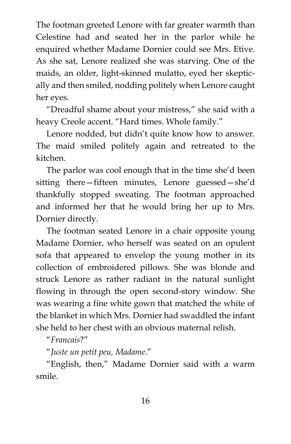The footman greeted Lenore with far greater warmth than Celestine had and seated her in the parlor while he enquired whether Madame Dornier could see Mrs. Etive. As she sat, Lenore realized she was starving. One of the maids, an older, light-skinned mulatto, eyed her skeptically and then smiled, nodding politely when Lenore caught her eyes.

"Dreadful shame about your mistress," she said with a heavy Creole accent. "Hard times. Whole family."

Lenore nodded, but didn't quite know how to answer. The maid smiled politely again and retreated to the kitchen.

The parlor was cool enough that in the time she'd been sitting there—fifteen minutes, Lenore guessed—she'd thankfully stopped sweating. The footman approached and informed her that he would bring her up to Mrs. Dornier directly.

The footman seated Lenore in a chair opposite young Madame Dornier, who herself was seated on an opulent sofa that appeared to envelop the young mother in its collection of embroidered pillows. She was blonde and struck Lenore as rather radiant in the natural sunlight flowing in through the open second-story window. She was wearing a fine white gown that matched the white of the blanket in which Mrs. Dornier had swaddled the infant she held to her chest with an obvious maternal relish.

"*Francais*?"

"*Juste un petit peu, Madame*."

"English, then," Madame Dornier said with a warm smile.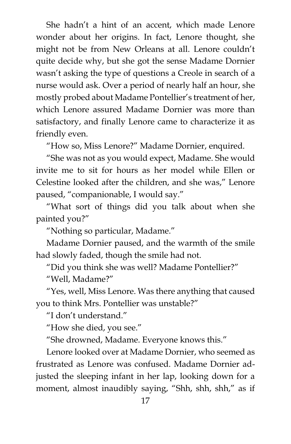She hadn't a hint of an accent, which made Lenore wonder about her origins. In fact, Lenore thought, she might not be from New Orleans at all. Lenore couldn't quite decide why, but she got the sense Madame Dornier wasn't asking the type of questions a Creole in search of a nurse would ask. Over a period of nearly half an hour, she mostly probed about Madame Pontellier's treatment of her, which Lenore assured Madame Dornier was more than satisfactory, and finally Lenore came to characterize it as friendly even.

"How so, Miss Lenore?" Madame Dornier, enquired.

"She was not as you would expect, Madame. She would invite me to sit for hours as her model while Ellen or Celestine looked after the children, and she was," Lenore paused, "companionable, I would say."

"What sort of things did you talk about when she painted you?"

"Nothing so particular, Madame."

Madame Dornier paused, and the warmth of the smile had slowly faded, though the smile had not.

"Did you think she was well? Madame Pontellier?"

"Well, Madame?"

"Yes, well, Miss Lenore. Was there anything that caused you to think Mrs. Pontellier was unstable?"

"I don't understand."

"How she died, you see."

"She drowned, Madame. Everyone knows this."

Lenore looked over at Madame Dornier, who seemed as frustrated as Lenore was confused. Madame Dornier adjusted the sleeping infant in her lap, looking down for a moment, almost inaudibly saying, "Shh, shh, shh," as if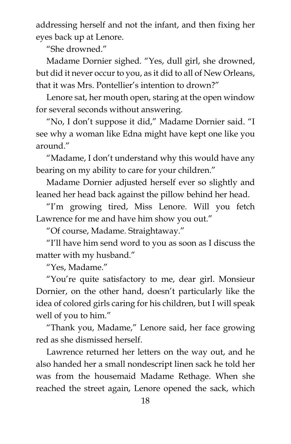addressing herself and not the infant, and then fixing her eyes back up at Lenore.

"She drowned."

Madame Dornier sighed. "Yes, dull girl, she drowned, but did it never occur to you, as it did to all of New Orleans, that it was Mrs. Pontellier's intention to drown?"

Lenore sat, her mouth open, staring at the open window for several seconds without answering.

"No, I don't suppose it did," Madame Dornier said. "I see why a woman like Edna might have kept one like you around."

"Madame, I don't understand why this would have any bearing on my ability to care for your children."

Madame Dornier adjusted herself ever so slightly and leaned her head back against the pillow behind her head.

"I'm growing tired, Miss Lenore. Will you fetch Lawrence for me and have him show you out."

"Of course, Madame. Straightaway."

"I'll have him send word to you as soon as I discuss the matter with my husband."

"Yes, Madame."

"You're quite satisfactory to me, dear girl. Monsieur Dornier, on the other hand, doesn't particularly like the idea of colored girls caring for his children, but I will speak well of you to him."

"Thank you, Madame," Lenore said, her face growing red as she dismissed herself.

Lawrence returned her letters on the way out, and he also handed her a small nondescript linen sack he told her was from the housemaid Madame Rethage. When she reached the street again, Lenore opened the sack, which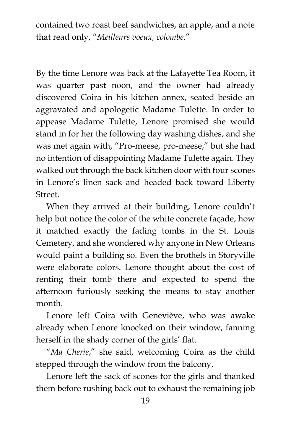contained two roast beef sandwiches, an apple, and a note that read only, "*Meilleurs voeux, colombe*."

By the time Lenore was back at the Lafayette Tea Room, it was quarter past noon, and the owner had already discovered Coira in his kitchen annex, seated beside an aggravated and apologetic Madame Tulette. In order to appease Madame Tulette, Lenore promised she would stand in for her the following day washing dishes, and she was met again with, "Pro-meese, pro-meese," but she had no intention of disappointing Madame Tulette again. They walked out through the back kitchen door with four scones in Lenore's linen sack and headed back toward Liberty Street.

When they arrived at their building, Lenore couldn't help but notice the color of the white concrete façade, how it matched exactly the fading tombs in the St. Louis Cemetery, and she wondered why anyone in New Orleans would paint a building so. Even the brothels in Storyville were elaborate colors. Lenore thought about the cost of renting their tomb there and expected to spend the afternoon furiously seeking the means to stay another month.

Lenore left Coira with Geneviève, who was awake already when Lenore knocked on their window, fanning herself in the shady corner of the girls' flat.

"*Ma Cherie*," she said, welcoming Coira as the child stepped through the window from the balcony.

Lenore left the sack of scones for the girls and thanked them before rushing back out to exhaust the remaining job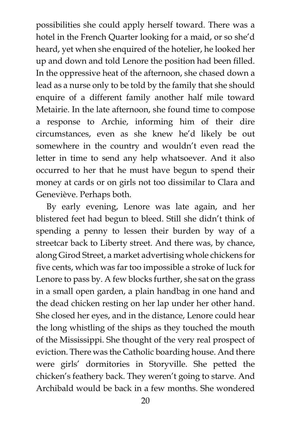possibilities she could apply herself toward. There was a hotel in the French Quarter looking for a maid, or so she'd heard, yet when she enquired of the hotelier, he looked her up and down and told Lenore the position had been filled. In the oppressive heat of the afternoon, she chased down a lead as a nurse only to be told by the family that she should enquire of a different family another half mile toward Metairie. In the late afternoon, she found time to compose a response to Archie, informing him of their dire circumstances, even as she knew he'd likely be out somewhere in the country and wouldn't even read the letter in time to send any help whatsoever. And it also occurred to her that he must have begun to spend their money at cards or on girls not too dissimilar to Clara and Geneviève. Perhaps both.

By early evening, Lenore was late again, and her blistered feet had begun to bleed. Still she didn't think of spending a penny to lessen their burden by way of a streetcar back to Liberty street. And there was, by chance, along Girod Street, a market advertising whole chickens for five cents, which was far too impossible a stroke of luck for Lenore to pass by. A few blocks further, she sat on the grass in a small open garden, a plain handbag in one hand and the dead chicken resting on her lap under her other hand. She closed her eyes, and in the distance, Lenore could hear the long whistling of the ships as they touched the mouth of the Mississippi. She thought of the very real prospect of eviction. There was the Catholic boarding house. And there were girls' dormitories in Storyville. She petted the chicken's feathery back. They weren't going to starve. And Archibald would be back in a few months. She wondered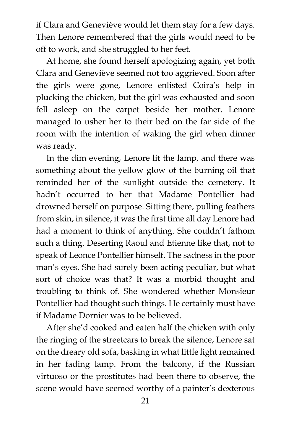if Clara and Geneviève would let them stay for a few days. Then Lenore remembered that the girls would need to be off to work, and she struggled to her feet.

At home, she found herself apologizing again, yet both Clara and Geneviève seemed not too aggrieved. Soon after the girls were gone, Lenore enlisted Coira's help in plucking the chicken, but the girl was exhausted and soon fell asleep on the carpet beside her mother. Lenore managed to usher her to their bed on the far side of the room with the intention of waking the girl when dinner was ready.

In the dim evening, Lenore lit the lamp, and there was something about the yellow glow of the burning oil that reminded her of the sunlight outside the cemetery. It hadn't occurred to her that Madame Pontellier had drowned herself on purpose. Sitting there, pulling feathers from skin, in silence, it was the first time all day Lenore had had a moment to think of anything. She couldn't fathom such a thing. Deserting Raoul and Etienne like that, not to speak of Leonce Pontellier himself. The sadness in the poor man's eyes. She had surely been acting peculiar, but what sort of choice was that? It was a morbid thought and troubling to think of. She wondered whether Monsieur Pontellier had thought such things. He certainly must have if Madame Dornier was to be believed.

After she'd cooked and eaten half the chicken with only the ringing of the streetcars to break the silence, Lenore sat on the dreary old sofa, basking in what little light remained in her fading lamp. From the balcony, if the Russian virtuoso or the prostitutes had been there to observe, the scene would have seemed worthy of a painter's dexterous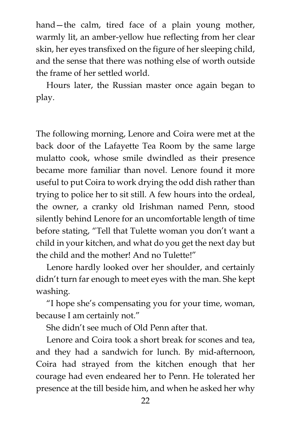hand—the calm, tired face of a plain young mother, warmly lit, an amber-yellow hue reflecting from her clear skin, her eyes transfixed on the figure of her sleeping child, and the sense that there was nothing else of worth outside the frame of her settled world.

Hours later, the Russian master once again began to play.

The following morning, Lenore and Coira were met at the back door of the Lafayette Tea Room by the same large mulatto cook, whose smile dwindled as their presence became more familiar than novel. Lenore found it more useful to put Coira to work drying the odd dish rather than trying to police her to sit still. A few hours into the ordeal, the owner, a cranky old Irishman named Penn, stood silently behind Lenore for an uncomfortable length of time before stating, "Tell that Tulette woman you don't want a child in your kitchen, and what do you get the next day but the child and the mother! And no Tulette!"

Lenore hardly looked over her shoulder, and certainly didn't turn far enough to meet eyes with the man. She kept washing.

"I hope she's compensating you for your time, woman, because I am certainly not."

She didn't see much of Old Penn after that.

Lenore and Coira took a short break for scones and tea, and they had a sandwich for lunch. By mid-afternoon, Coira had strayed from the kitchen enough that her courage had even endeared her to Penn. He tolerated her presence at the till beside him, and when he asked her why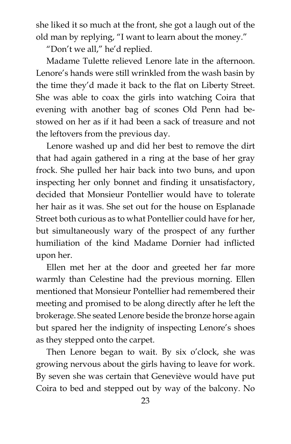she liked it so much at the front, she got a laugh out of the old man by replying, "I want to learn about the money."

"Don't we all," he'd replied.

Madame Tulette relieved Lenore late in the afternoon. Lenore's hands were still wrinkled from the wash basin by the time they'd made it back to the flat on Liberty Street. She was able to coax the girls into watching Coira that evening with another bag of scones Old Penn had bestowed on her as if it had been a sack of treasure and not the leftovers from the previous day.

Lenore washed up and did her best to remove the dirt that had again gathered in a ring at the base of her gray frock. She pulled her hair back into two buns, and upon inspecting her only bonnet and finding it unsatisfactory, decided that Monsieur Pontellier would have to tolerate her hair as it was. She set out for the house on Esplanade Street both curious as to what Pontellier could have for her, but simultaneously wary of the prospect of any further humiliation of the kind Madame Dornier had inflicted upon her.

Ellen met her at the door and greeted her far more warmly than Celestine had the previous morning. Ellen mentioned that Monsieur Pontellier had remembered their meeting and promised to be along directly after he left the brokerage. She seated Lenore beside the bronze horse again but spared her the indignity of inspecting Lenore's shoes as they stepped onto the carpet.

Then Lenore began to wait. By six o'clock, she was growing nervous about the girls having to leave for work. By seven she was certain that Geneviève would have put Coira to bed and stepped out by way of the balcony. No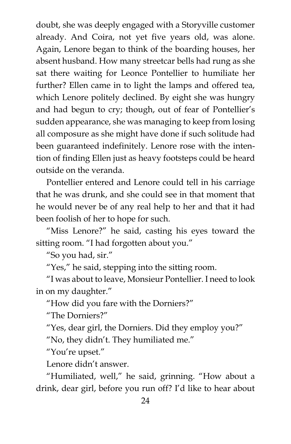doubt, she was deeply engaged with a Storyville customer already. And Coira, not yet five years old, was alone. Again, Lenore began to think of the boarding houses, her absent husband. How many streetcar bells had rung as she sat there waiting for Leonce Pontellier to humiliate her further? Ellen came in to light the lamps and offered tea, which Lenore politely declined. By eight she was hungry and had begun to cry; though, out of fear of Pontellier's sudden appearance, she was managing to keep from losing all composure as she might have done if such solitude had been guaranteed indefinitely. Lenore rose with the intention of finding Ellen just as heavy footsteps could be heard outside on the veranda.

Pontellier entered and Lenore could tell in his carriage that he was drunk, and she could see in that moment that he would never be of any real help to her and that it had been foolish of her to hope for such.

"Miss Lenore?" he said, casting his eyes toward the sitting room. "I had forgotten about you."

"So you had, sir."

"Yes," he said, stepping into the sitting room.

"I was about to leave, Monsieur Pontellier. I need to look in on my daughter."

"How did you fare with the Dorniers?"

"The Dorniers?"

"Yes, dear girl, the Dorniers. Did they employ you?"

"No, they didn't. They humiliated me."

"You're upset."

Lenore didn't answer.

"Humiliated, well," he said, grinning. "How about a drink, dear girl, before you run off? I'd like to hear about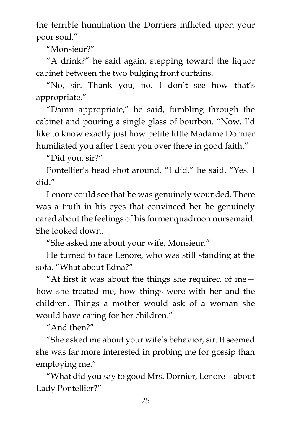the terrible humiliation the Dorniers inflicted upon your poor soul."

"Monsieur?"

"A drink?" he said again, stepping toward the liquor cabinet between the two bulging front curtains.

"No, sir. Thank you, no. I don't see how that's appropriate."

"Damn appropriate," he said, fumbling through the cabinet and pouring a single glass of bourbon. "Now. I'd like to know exactly just how petite little Madame Dornier humiliated you after I sent you over there in good faith."

"Did you, sir?"

Pontellier's head shot around. "I did," he said. "Yes. I did."

Lenore could see that he was genuinely wounded. There was a truth in his eyes that convinced her he genuinely cared about the feelings of his former quadroon nursemaid. She looked down.

"She asked me about your wife, Monsieur."

He turned to face Lenore, who was still standing at the sofa. "What about Edna?"

"At first it was about the things she required of me how she treated me, how things were with her and the children. Things a mother would ask of a woman she would have caring for her children."

"And then?"

"She asked me about your wife's behavior, sir. It seemed she was far more interested in probing me for gossip than employing me."

"What did you say to good Mrs. Dornier, Lenore—about Lady Pontellier?"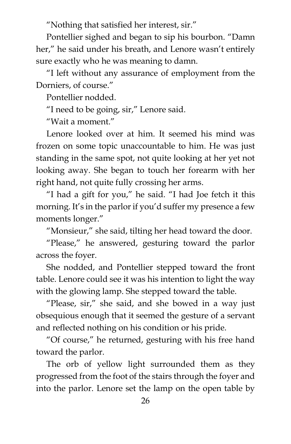"Nothing that satisfied her interest, sir."

Pontellier sighed and began to sip his bourbon. "Damn her," he said under his breath, and Lenore wasn't entirely sure exactly who he was meaning to damn.

"I left without any assurance of employment from the Dorniers, of course."

Pontellier nodded.

"I need to be going, sir," Lenore said.

"Wait a moment"

Lenore looked over at him. It seemed his mind was frozen on some topic unaccountable to him. He was just standing in the same spot, not quite looking at her yet not looking away. She began to touch her forearm with her right hand, not quite fully crossing her arms.

"I had a gift for you," he said. "I had Joe fetch it this morning. It's in the parlor if you'd suffer my presence a few moments longer."

"Monsieur," she said, tilting her head toward the door.

"Please," he answered, gesturing toward the parlor across the foyer.

She nodded, and Pontellier stepped toward the front table. Lenore could see it was his intention to light the way with the glowing lamp. She stepped toward the table.

"Please, sir," she said, and she bowed in a way just obsequious enough that it seemed the gesture of a servant and reflected nothing on his condition or his pride.

"Of course," he returned, gesturing with his free hand toward the parlor.

The orb of yellow light surrounded them as they progressed from the foot of the stairs through the foyer and into the parlor. Lenore set the lamp on the open table by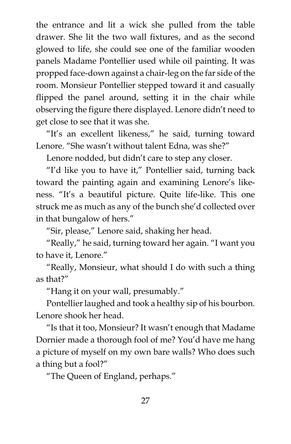the entrance and lit a wick she pulled from the table drawer. She lit the two wall fixtures, and as the second glowed to life, she could see one of the familiar wooden panels Madame Pontellier used while oil painting. It was propped face-down against a chair-leg on the far side of the room. Monsieur Pontellier stepped toward it and casually flipped the panel around, setting it in the chair while observing the figure there displayed. Lenore didn't need to get close to see that it was she.

"It's an excellent likeness," he said, turning toward Lenore. "She wasn't without talent Edna, was she?"

Lenore nodded, but didn't care to step any closer.

"I'd like you to have it," Pontellier said, turning back toward the painting again and examining Lenore's likeness. "It's a beautiful picture. Quite life-like. This one struck me as much as any of the bunch she'd collected over in that bungalow of hers."

"Sir, please," Lenore said, shaking her head.

"Really," he said, turning toward her again. "I want you to have it, Lenore."

"Really, Monsieur, what should I do with such a thing as that?"

"Hang it on your wall, presumably."

Pontellier laughed and took a healthy sip of his bourbon. Lenore shook her head.

"Is that it too, Monsieur? It wasn't enough that Madame Dornier made a thorough fool of me? You'd have me hang a picture of myself on my own bare walls? Who does such a thing but a fool?"

"The Queen of England, perhaps."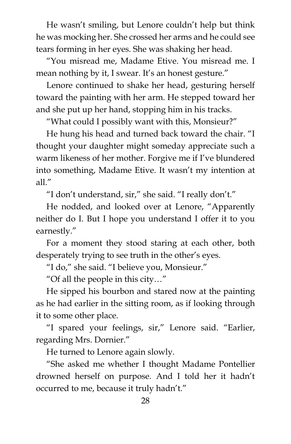He wasn't smiling, but Lenore couldn't help but think he was mocking her. She crossed her arms and he could see tears forming in her eyes. She was shaking her head.

"You misread me, Madame Etive. You misread me. I mean nothing by it, I swear. It's an honest gesture."

Lenore continued to shake her head, gesturing herself toward the painting with her arm. He stepped toward her and she put up her hand, stopping him in his tracks.

"What could I possibly want with this, Monsieur?"

He hung his head and turned back toward the chair. "I thought your daughter might someday appreciate such a warm likeness of her mother. Forgive me if I've blundered into something, Madame Etive. It wasn't my intention at all."

"I don't understand, sir," she said. "I really don't."

He nodded, and looked over at Lenore, "Apparently neither do I. But I hope you understand I offer it to you earnestly."

For a moment they stood staring at each other, both desperately trying to see truth in the other's eyes.

"I do," she said. "I believe you, Monsieur."

"Of all the people in this city…"

He sipped his bourbon and stared now at the painting as he had earlier in the sitting room, as if looking through it to some other place.

"I spared your feelings, sir," Lenore said. "Earlier, regarding Mrs. Dornier."

He turned to Lenore again slowly.

"She asked me whether I thought Madame Pontellier drowned herself on purpose. And I told her it hadn't occurred to me, because it truly hadn't."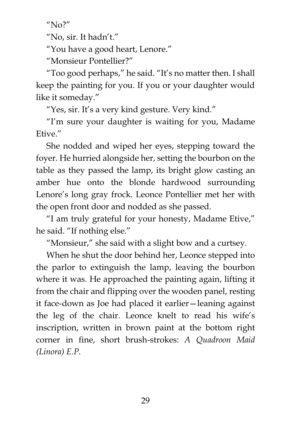$\gamma$ No?"

"No, sir. It hadn't."

"You have a good heart, Lenore."

"Monsieur Pontellier?"

"Too good perhaps," he said. "It's no matter then. I shall keep the painting for you. If you or your daughter would like it someday."

"Yes, sir. It's a very kind gesture. Very kind."

"I'm sure your daughter is waiting for you, Madame Etive<sup>"</sup>

She nodded and wiped her eyes, stepping toward the foyer. He hurried alongside her, setting the bourbon on the table as they passed the lamp, its bright glow casting an amber hue onto the blonde hardwood surrounding Lenore's long gray frock. Leonce Pontellier met her with the open front door and nodded as she passed.

"I am truly grateful for your honesty, Madame Etive," he said. "If nothing else."

"Monsieur," she said with a slight bow and a curtsey.

When he shut the door behind her, Leonce stepped into the parlor to extinguish the lamp, leaving the bourbon where it was. He approached the painting again, lifting it from the chair and flipping over the wooden panel, resting it face-down as Joe had placed it earlier—leaning against the leg of the chair. Leonce knelt to read his wife's inscription, written in brown paint at the bottom right corner in fine, short brush-strokes: *A Quadroon Maid (Linora) E.P.*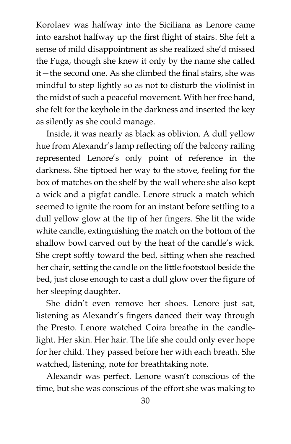Korolaev was halfway into the Siciliana as Lenore came into earshot halfway up the first flight of stairs. She felt a sense of mild disappointment as she realized she'd missed the Fuga, though she knew it only by the name she called it—the second one. As she climbed the final stairs, she was mindful to step lightly so as not to disturb the violinist in the midst of such a peaceful movement. With her free hand, she felt for the keyhole in the darkness and inserted the key as silently as she could manage.

Inside, it was nearly as black as oblivion. A dull yellow hue from Alexandr's lamp reflecting off the balcony railing represented Lenore's only point of reference in the darkness. She tiptoed her way to the stove, feeling for the box of matches on the shelf by the wall where she also kept a wick and a pigfat candle. Lenore struck a match which seemed to ignite the room for an instant before settling to a dull yellow glow at the tip of her fingers. She lit the wide white candle, extinguishing the match on the bottom of the shallow bowl carved out by the heat of the candle's wick. She crept softly toward the bed, sitting when she reached her chair, setting the candle on the little footstool beside the bed, just close enough to cast a dull glow over the figure of her sleeping daughter.

She didn't even remove her shoes. Lenore just sat, listening as Alexandr's fingers danced their way through the Presto. Lenore watched Coira breathe in the candlelight. Her skin. Her hair. The life she could only ever hope for her child. They passed before her with each breath. She watched, listening, note for breathtaking note.

Alexandr was perfect. Lenore wasn't conscious of the time, but she was conscious of the effort she was making to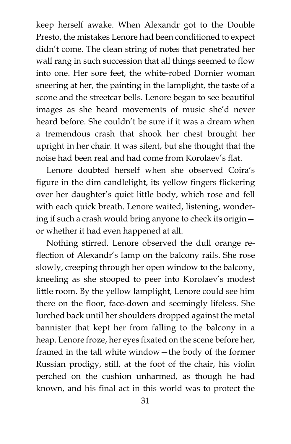keep herself awake. When Alexandr got to the Double Presto, the mistakes Lenore had been conditioned to expect didn't come. The clean string of notes that penetrated her wall rang in such succession that all things seemed to flow into one. Her sore feet, the white-robed Dornier woman sneering at her, the painting in the lamplight, the taste of a scone and the streetcar bells. Lenore began to see beautiful images as she heard movements of music she'd never heard before. She couldn't be sure if it was a dream when a tremendous crash that shook her chest brought her upright in her chair. It was silent, but she thought that the noise had been real and had come from Korolaev's flat.

Lenore doubted herself when she observed Coira's figure in the dim candlelight, its yellow fingers flickering over her daughter's quiet little body, which rose and fell with each quick breath. Lenore waited, listening, wondering if such a crash would bring anyone to check its origin or whether it had even happened at all.

Nothing stirred. Lenore observed the dull orange reflection of Alexandr's lamp on the balcony rails. She rose slowly, creeping through her open window to the balcony, kneeling as she stooped to peer into Korolaev's modest little room. By the yellow lamplight, Lenore could see him there on the floor, face-down and seemingly lifeless. She lurched back until her shoulders dropped against the metal bannister that kept her from falling to the balcony in a heap. Lenore froze, her eyes fixated on the scene before her, framed in the tall white window—the body of the former Russian prodigy, still, at the foot of the chair, his violin perched on the cushion unharmed, as though he had known, and his final act in this world was to protect the